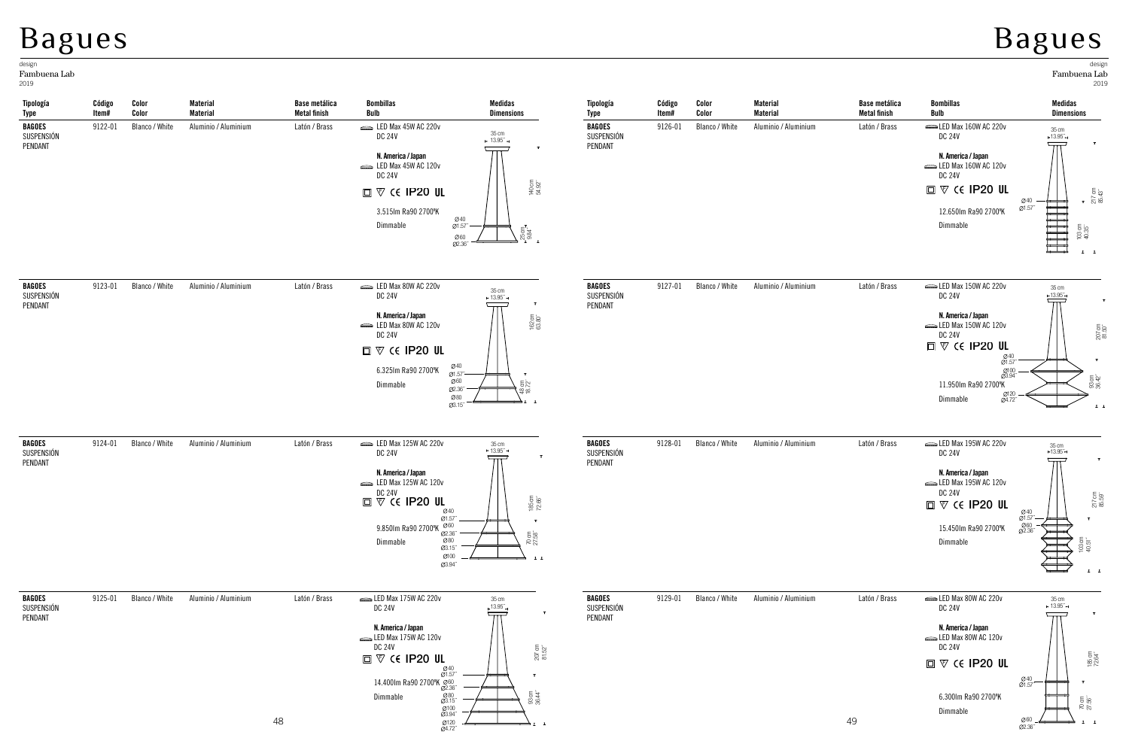## Bagues

 **Código Item#**

**Color Color** **Material Material** **Base metálica Metal finish**

 **Bombillas Bulb**

**Medidas Dimensions** **Tipología Type**

 **Código Item#**

**Color Color** **Material Material**

## Bagues

40 1.57´´

2019 design Fambuena Lab

217 cm 85.43´´

 $\mathbf{r}$ 

103 cm 40.35´´

**Medidas Dimensions**

35 cm 13.95´´

 $\overline{\pi}$ 

 $\begin{tabular}{|c|c|c|c|c|c|c|} \hline \quad \quad & \quad \quad & \quad \quad & \quad \quad & \quad \quad \\ \hline \quad \quad & \quad \quad & \quad \quad & \quad \quad & \quad \quad \\ \hline \quad \quad & \quad \quad & \quad \quad & \quad \quad & \quad \quad \\ \hline \quad \quad & \quad \quad & \quad \quad & \quad \quad & \quad \quad \\ \hline \quad \quad & \quad \quad & \quad \quad & \quad \quad & \quad \quad \\ \hline \quad \quad & \quad \quad & \quad \quad & \quad \quad \\ \hline \quad \quad & \quad \quad & \quad \quad & \quad \quad \\ \hline \quad \quad & \quad \quad$ 

**Tipología Type**

| <b>BAGOES</b><br>SUSPENSIÓN<br>PENDANT | 9122-01 | Blanco / White | Aluminio / Aluminium | Latón / Brass | LED Max 45W AC 220v<br>35 cm<br><b>DC 24V</b><br>$-13.95"$<br>$\mathbf{T}$<br>N. America / Japan<br>$\equiv$ LED Max 45W AC 120v<br><b>DC 24V</b><br>140 cm<br>54.92"<br>$\square$ $\nabla$ ( $\epsilon$ IP20 UL<br>3.515lm Ra90 2700°K<br>$@40$<br>$@1.57" -$<br>Dimmable<br>${\overline{\mathcal T}}\,\overset{\circ}{\mathbb S}^{\mathbb S}_{\overset{\circ}{\mathbb L}^{\mathbb Z}}$ .<br>Ø60<br>02.36" | <b>BAGOES</b><br>SUSPENSIÓN<br>PENDANT | 9126-01 | Blanco / White | Aluminio / Aluminium | Latón / Brass | LED Max 160W AC 220v<br><b>DC 24V</b><br>N. America / Japan<br>LED Max 160W AC 120v<br><b>DC 24V</b><br>$\square$ $\nabla$ $\in$ IP20 UI<br>12.650lm Ra90 2700°K<br>Dimmable                                |
|----------------------------------------|---------|----------------|----------------------|---------------|-------------------------------------------------------------------------------------------------------------------------------------------------------------------------------------------------------------------------------------------------------------------------------------------------------------------------------------------------------------------------------------------------------------|----------------------------------------|---------|----------------|----------------------|---------------|-------------------------------------------------------------------------------------------------------------------------------------------------------------------------------------------------------------|
| BAGOES<br>SUSPENSIÓN<br>PENDANT        | 9123-01 | Blanco / White | Aluminio / Aluminium | Latón / Brass | LED Max 80W AC 220v<br>$35 \text{ cm}$<br><b>DC 24V</b><br>$\sim 13.95^{''} \rightarrow$<br>$\mathbf{T}$<br>N. America / Japan<br>162 cm<br>63.80″<br>LED Max 80W AC 120v<br><b>DC 24V</b><br>$\square$ $\nabla$ $\zeta$ ( ip20 ul<br>Ø40<br>6.325Im Ra90 2700°K<br>Ø1.57"-<br>$\mathbf{T}$<br>Ø60<br>48 cm<br>18.72"<br>Dimmable<br>Ø2.36"<br>Ø80<br>91 I<br>Ø3.15"                                        | <b>BAGOES</b><br>SUSPENSIÓN<br>PENDANT | 9127-01 | Blanco / White | Aluminio / Aluminium | Latón / Brass | LED Max 150W AC 220v<br><b>DC 24V</b><br>N. America / Japan<br>LED Max 150W AC 120v<br><b>DC 24V</b><br>$\square$ $\nabla$ $\zeta$ ip 20 $\blacksquare$<br>Ø<br>É.<br>11.950lm Ra90 2700°K<br>S<br>Dimmable |
| <b>BAGOES</b><br>SUSPENSIÓN<br>PENDANT | 9124-01 | Blanco / White | Aluminio / Aluminium | Latón / Brass | LED Max 125W AC 220v<br>$35 \text{ cm}$<br>+ 13.95"<br><b>DC 24V</b><br>$\mathbf{T}$<br>N. America / Japan<br>LED Max 125W AC 120v<br><b>DC 24V</b><br>$\frac{185}{72.66}$ $^{\circ}$<br>$\square$ $\nabla$ (E IP20 UL<br>Ø40<br>Ø1.57"<br>$\mathbf{T}$<br>Ø60<br>9.850Im Ra90 2700°K<br>Ø2.36"<br>$\frac{70}{27.58}$<br>Ø80<br>Dimmable<br>Ø3.15"<br>Ø100<br>$\mathbf{L}$ $\mathbf{L}$<br>Ø3.94"           | <b>BAGOES</b><br>SUSPENSIÓN<br>PENDANT | 9128-01 | Blanco / White | Aluminio / Aluminium | Latón / Brass | LED Max 195W AC 220v<br><b>DC 24V</b><br>N. America / Japan<br>LED Max 195W AC 120v<br><b>DC 24V</b><br>$\square$ $\nabla$ $\in$ IP20 UL<br>15.450lm Ra90 2700°K<br>Dimmable                                |
| <b>BAGOES</b><br>SUSPENSIÓN<br>PENDANT | 9125-01 | Blanco / White | Aluminio / Aluminium | Latón / Brass | LED Max 175W AC 220v<br>35 cm<br>,13.95.<br><b>DC 24V</b><br>T<br>$\overline{\pi}$<br>N. America / Japan<br>LED Max 175W AC 120v<br><b>DC 24V</b><br>$\frac{207}{81.52}$ cm<br>$\square$ $\nabla$ $\zeta$ ip 20 ul<br>$^{040}_{01.57}$<br>$\mathbf T$<br>14.4001m Ra90 2700°K Ø60<br>93 cm<br>36.44"<br>$^{080}_{03.15}$<br>Dimmable<br>Ø100<br>Ø3.94″                                                      | <b>BAGOES</b><br>SUSPENSIÓN<br>PENDANT | 9129-01 | Blanco / White | Aluminio / Aluminium | Latón / Brass | LED Max 80W AC 220v<br><b>DC 24V</b><br>N. America / Japan<br>LED Max 80W AC 120v<br><b>DC 24V</b><br>$\square$ $\nabla$ $\in$ IP20 UI<br>6.300Im Ra90 2700°K<br>Dimmable                                   |

120 4.72´´

| 9127-01 | Blanco / White | Aluminio / Aluminium | Latón / Brass | $\equiv$ LED Max 150W AC 220v<br><b>DC 24V</b> | 35 cm<br>$-13.95"$ |                  |
|---------|----------------|----------------------|---------------|------------------------------------------------|--------------------|------------------|
|         |                |                      |               |                                                |                    | т                |
|         |                |                      |               | N. America / Japan                             |                    |                  |
|         |                |                      |               | $\equiv$ LED Max 150W AC 120v                  |                    |                  |
|         |                |                      |               | <b>DC 24V</b>                                  |                    | 207 cm<br>81.50" |
|         |                |                      |               | $\square$ $\nabla$ $\in$ IP20 UL               |                    |                  |
|         |                |                      |               | $^{040}_{01.57}$                               |                    | $\mathbf{r}$     |
|         |                |                      |               | Ø100<br>Ø3.94″                                 |                    |                  |
|         |                |                      |               | 11.950lm Ra90 2700°K                           |                    | 93 cm<br>36.42"  |
|         |                |                      |               | Ø120<br>Ø4.72″<br>Dimmable                     |                    | $1 - 1$          |

**Base metálica Metal finish**

 **Bombillas Bulb**